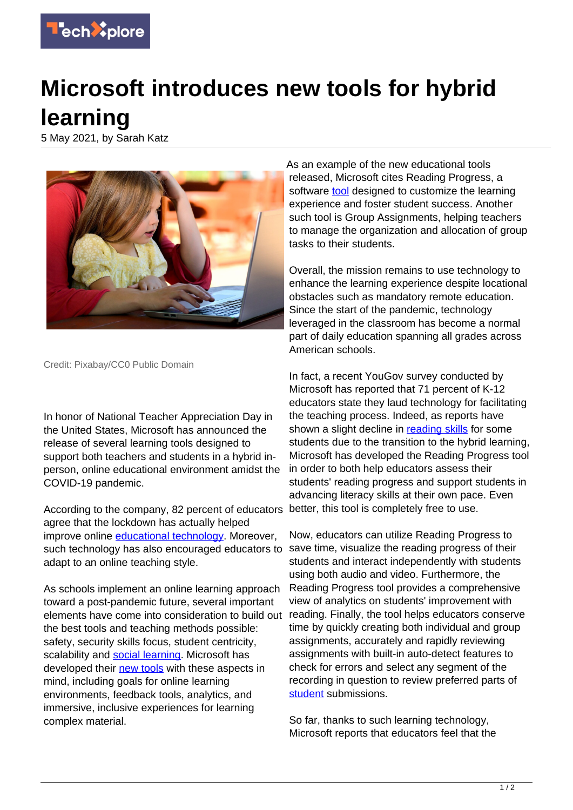

## **Microsoft introduces new tools for hybrid learning**

5 May 2021, by Sarah Katz



Credit: Pixabay/CC0 Public Domain

In honor of National Teacher Appreciation Day in the United States, Microsoft has announced the release of several learning tools designed to support both teachers and students in a hybrid inperson, online educational environment amidst the COVID-19 pandemic.

According to the company, 82 percent of educators agree that the lockdown has actually helped improve online [educational technology](https://techxplore.com/tags/educational+technology/). Moreover, such technology has also encouraged educators to adapt to an online teaching style.

As schools implement an online learning approach toward a post-pandemic future, several important elements have come into consideration to build out the best tools and teaching methods possible: safety, security skills focus, student centricity, scalability and [social learning.](https://techxplore.com/tags/social+learning/) Microsoft has developed their [new tools](https://techxplore.com/tags/new+tools/) with these aspects in mind, including goals for online learning environments, feedback tools, analytics, and immersive, inclusive experiences for learning complex material.

As an example of the new educational tools released, Microsoft cites Reading Progress, a software [tool](https://techxplore.com/tags/tool/) designed to customize the learning experience and foster student success. Another such tool is Group Assignments, helping teachers to manage the organization and allocation of group tasks to their students.

Overall, the mission remains to use technology to enhance the learning experience despite locational obstacles such as mandatory remote education. Since the start of the pandemic, technology leveraged in the classroom has become a normal part of daily education spanning all grades across American schools.

In fact, a recent YouGov survey conducted by Microsoft has reported that 71 percent of K-12 educators state they laud technology for facilitating the teaching process. Indeed, as reports have shown a slight decline in [reading skills](https://techxplore.com/tags/reading+skills/) for some students due to the transition to the hybrid learning, Microsoft has developed the Reading Progress tool in order to both help educators assess their students' reading progress and support students in advancing literacy skills at their own pace. Even better, this tool is completely free to use.

Now, educators can utilize Reading Progress to save time, visualize the reading progress of their students and interact independently with students using both audio and video. Furthermore, the Reading Progress tool provides a comprehensive view of analytics on students' improvement with reading. Finally, the tool helps educators conserve time by quickly creating both individual and group assignments, accurately and rapidly reviewing assignments with built-in auto-detect features to check for errors and select any segment of the recording in question to review preferred parts of [student](https://techxplore.com/tags/student/) submissions.

So far, thanks to such learning technology, Microsoft reports that educators feel that the